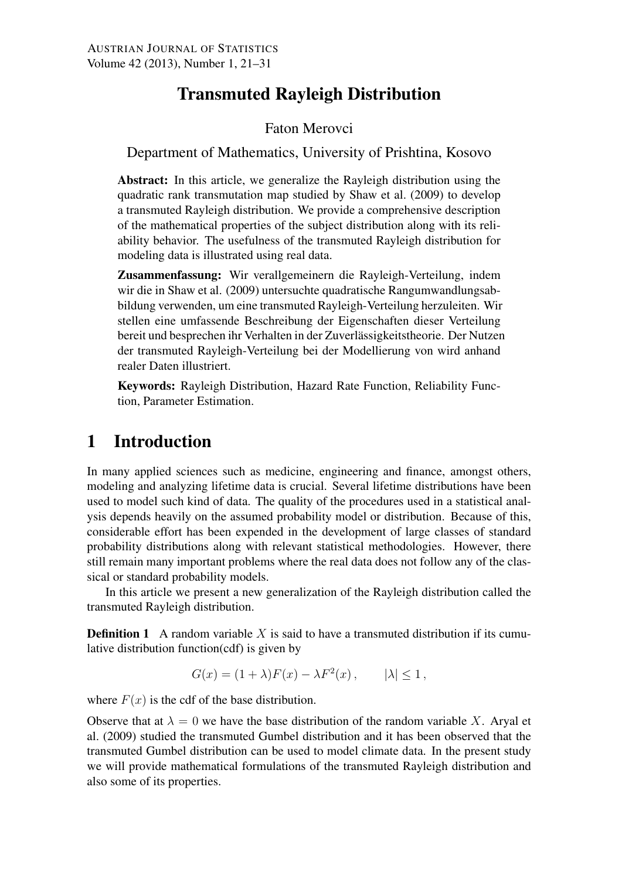# Transmuted Rayleigh Distribution

#### Faton Merovci

Department of Mathematics, University of Prishtina, Kosovo

Abstract: In this article, we generalize the Rayleigh distribution using the quadratic rank transmutation map studied by Shaw et al. (2009) to develop a transmuted Rayleigh distribution. We provide a comprehensive description of the mathematical properties of the subject distribution along with its reliability behavior. The usefulness of the transmuted Rayleigh distribution for modeling data is illustrated using real data.

Zusammenfassung: Wir verallgemeinern die Rayleigh-Verteilung, indem wir die in Shaw et al. (2009) untersuchte quadratische Rangumwandlungsabbildung verwenden, um eine transmuted Rayleigh-Verteilung herzuleiten. Wir stellen eine umfassende Beschreibung der Eigenschaften dieser Verteilung bereit und besprechen ihr Verhalten in der Zuverlässigkeitstheorie. Der Nutzen der transmuted Rayleigh-Verteilung bei der Modellierung von wird anhand realer Daten illustriert.

Keywords: Rayleigh Distribution, Hazard Rate Function, Reliability Function, Parameter Estimation.

# 1 Introduction

In many applied sciences such as medicine, engineering and finance, amongst others, modeling and analyzing lifetime data is crucial. Several lifetime distributions have been used to model such kind of data. The quality of the procedures used in a statistical analysis depends heavily on the assumed probability model or distribution. Because of this, considerable effort has been expended in the development of large classes of standard probability distributions along with relevant statistical methodologies. However, there still remain many important problems where the real data does not follow any of the classical or standard probability models.

In this article we present a new generalization of the Rayleigh distribution called the transmuted Rayleigh distribution.

**Definition 1** A random variable X is said to have a transmuted distribution if its cumulative distribution function(cdf) is given by

$$
G(x) = (1 + \lambda)F(x) - \lambda F^{2}(x), \qquad |\lambda| \le 1,
$$

where  $F(x)$  is the cdf of the base distribution.

Observe that at  $\lambda = 0$  we have the base distribution of the random variable X. Aryal et al. (2009) studied the transmuted Gumbel distribution and it has been observed that the transmuted Gumbel distribution can be used to model climate data. In the present study we will provide mathematical formulations of the transmuted Rayleigh distribution and also some of its properties.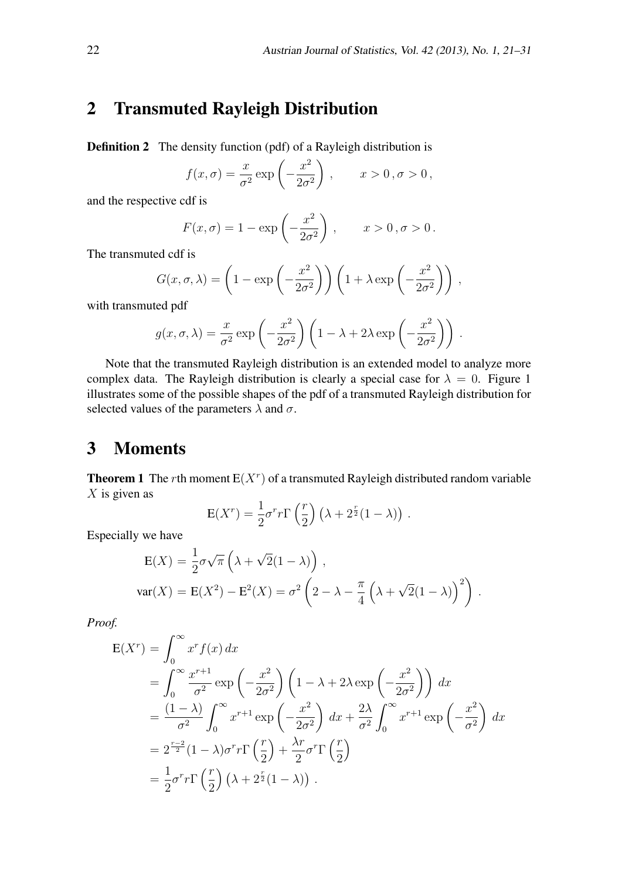### 2 Transmuted Rayleigh Distribution

**Definition 2** The density function (pdf) of a Rayleigh distribution is

$$
f(x,\sigma) = \frac{x}{\sigma^2} \exp\left(-\frac{x^2}{2\sigma^2}\right), \qquad x > 0, \sigma > 0,
$$

and the respective cdf is

$$
F(x,\sigma) = 1 - \exp\left(-\frac{x^2}{2\sigma^2}\right), \qquad x > 0, \sigma > 0.
$$

The transmuted cdf is

$$
G(x, \sigma, \lambda) = \left(1 - \exp\left(-\frac{x^2}{2\sigma^2}\right)\right) \left(1 + \lambda \exp\left(-\frac{x^2}{2\sigma^2}\right)\right),
$$

with transmuted pdf

$$
g(x, \sigma, \lambda) = \frac{x}{\sigma^2} \exp\left(-\frac{x^2}{2\sigma^2}\right) \left(1 - \lambda + 2\lambda \exp\left(-\frac{x^2}{2\sigma^2}\right)\right).
$$

Note that the transmuted Rayleigh distribution is an extended model to analyze more complex data. The Rayleigh distribution is clearly a special case for  $\lambda = 0$ . Figure 1 illustrates some of the possible shapes of the pdf of a transmuted Rayleigh distribution for selected values of the parameters  $\lambda$  and  $\sigma$ .

### 3 Moments

**Theorem 1** The *r*th moment  $E(X<sup>r</sup>)$  of a transmuted Rayleigh distributed random variable *X* is given as

$$
E(Xr) = \frac{1}{2}\sigmarr\Gamma\left(\frac{r}{2}\right)\left(\lambda + 2^{\frac{r}{2}}(1-\lambda)\right).
$$

Especially we have

$$
E(X) = \frac{1}{2}\sigma\sqrt{\pi} \left(\lambda + \sqrt{2}(1-\lambda)\right),
$$
  
var(X) = E(X<sup>2</sup>) - E<sup>2</sup>(X) =  $\sigma^2 \left(2 - \lambda - \frac{\pi}{4} \left(\lambda + \sqrt{2}(1-\lambda)\right)^2\right).$ 

*Proof.*

$$
E(X^{r}) = \int_{0}^{\infty} x^{r} f(x) dx
$$
  
= 
$$
\int_{0}^{\infty} \frac{x^{r+1}}{\sigma^{2}} \exp\left(-\frac{x^{2}}{2\sigma^{2}}\right) \left(1 - \lambda + 2\lambda \exp\left(-\frac{x^{2}}{2\sigma^{2}}\right)\right) dx
$$
  
= 
$$
\frac{(1 - \lambda)}{\sigma^{2}} \int_{0}^{\infty} x^{r+1} \exp\left(-\frac{x^{2}}{2\sigma^{2}}\right) dx + \frac{2\lambda}{\sigma^{2}} \int_{0}^{\infty} x^{r+1} \exp\left(-\frac{x^{2}}{\sigma^{2}}\right) dx
$$
  
= 
$$
2^{\frac{r-2}{2}} (1 - \lambda) \sigma^{r} r \Gamma\left(\frac{r}{2}\right) + \frac{\lambda r}{2} \sigma^{r} \Gamma\left(\frac{r}{2}\right)
$$
  
= 
$$
\frac{1}{2} \sigma^{r} r \Gamma\left(\frac{r}{2}\right) (\lambda + 2^{\frac{r}{2}} (1 - \lambda)).
$$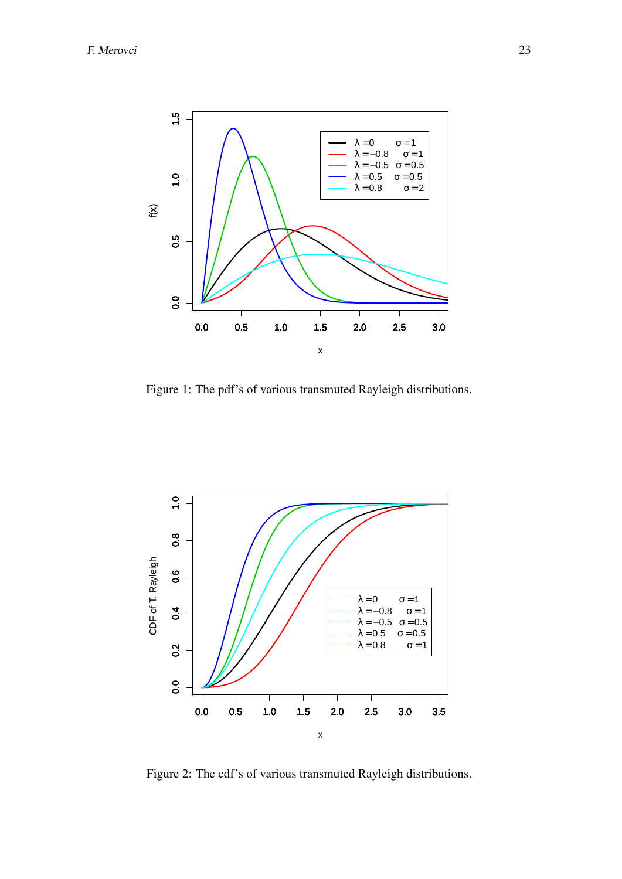

Figure 1: The pdf's of various transmuted Rayleigh distributions.



Figure 2: The cdf's of various transmuted Rayleigh distributions.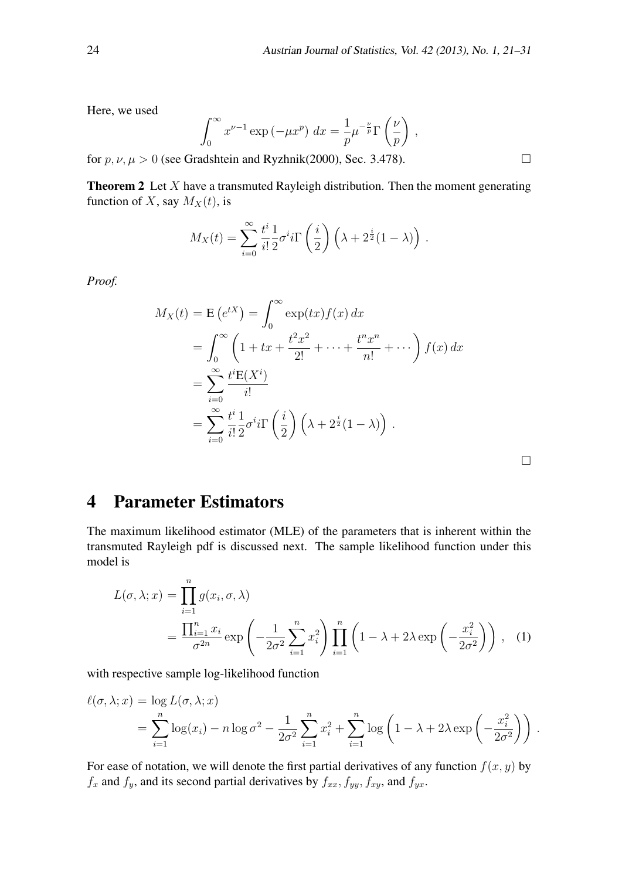*,*

Here, we used

$$
\int_0^\infty x^{\nu-1} \exp\left(-\mu x^p\right) dx = \frac{1}{p} \mu^{-\frac{\nu}{p}} \Gamma\left(\frac{\nu}{p}\right)
$$

for  $p, \nu, \mu > 0$  (see Gradshtein and Ryzhnik(2000), Sec. 3.478).

Theorem 2 Let *X* have a transmuted Rayleigh distribution. Then the moment generating function of *X*, say  $M_X(t)$ , is

$$
M_X(t) = \sum_{i=0}^{\infty} \frac{t^i}{i!} \frac{1}{2} \sigma^i i \Gamma\left(\frac{i}{2}\right) \left(\lambda + 2^{\frac{i}{2}} (1-\lambda)\right).
$$

*Proof.*

$$
M_X(t) = \mathbf{E}\left(e^{tX}\right) = \int_0^\infty \exp(tx)f(x) dx
$$
  
= 
$$
\int_0^\infty \left(1 + tx + \frac{t^2x^2}{2!} + \dots + \frac{t^nx^n}{n!} + \dots\right) f(x) dx
$$
  
= 
$$
\sum_{i=0}^\infty \frac{t^i \mathbf{E}(X^i)}{i!}
$$
  
= 
$$
\sum_{i=0}^\infty \frac{t^i}{i!} \frac{1}{2} \sigma^i i \Gamma\left(\frac{i}{2}\right) \left(\lambda + 2^{\frac{i}{2}}(1 - \lambda)\right).
$$

 $\Box$ 

# 4 Parameter Estimators

The maximum likelihood estimator (MLE) of the parameters that is inherent within the transmuted Rayleigh pdf is discussed next. The sample likelihood function under this model is

$$
L(\sigma, \lambda; x) = \prod_{i=1}^{n} g(x_i, \sigma, \lambda)
$$
  
= 
$$
\frac{\prod_{i=1}^{n} x_i}{\sigma^{2n}} \exp\left(-\frac{1}{2\sigma^2} \sum_{i=1}^{n} x_i^2\right) \prod_{i=1}^{n} \left(1 - \lambda + 2\lambda \exp\left(-\frac{x_i^2}{2\sigma^2}\right)\right),
$$
 (1)

with respective sample log-likelihood function

$$
\ell(\sigma, \lambda; x) = \log L(\sigma, \lambda; x)
$$
  
= 
$$
\sum_{i=1}^{n} \log(x_i) - n \log \sigma^2 - \frac{1}{2\sigma^2} \sum_{i=1}^{n} x_i^2 + \sum_{i=1}^{n} \log \left( 1 - \lambda + 2\lambda \exp\left( -\frac{x_i^2}{2\sigma^2} \right) \right).
$$

For ease of notation, we will denote the first partial derivatives of any function  $f(x, y)$  by  $f_x$  and  $f_y$ , and its second partial derivatives by  $f_{xx}$ ,  $f_{yy}$ ,  $f_{xy}$ , and  $f_{yx}$ .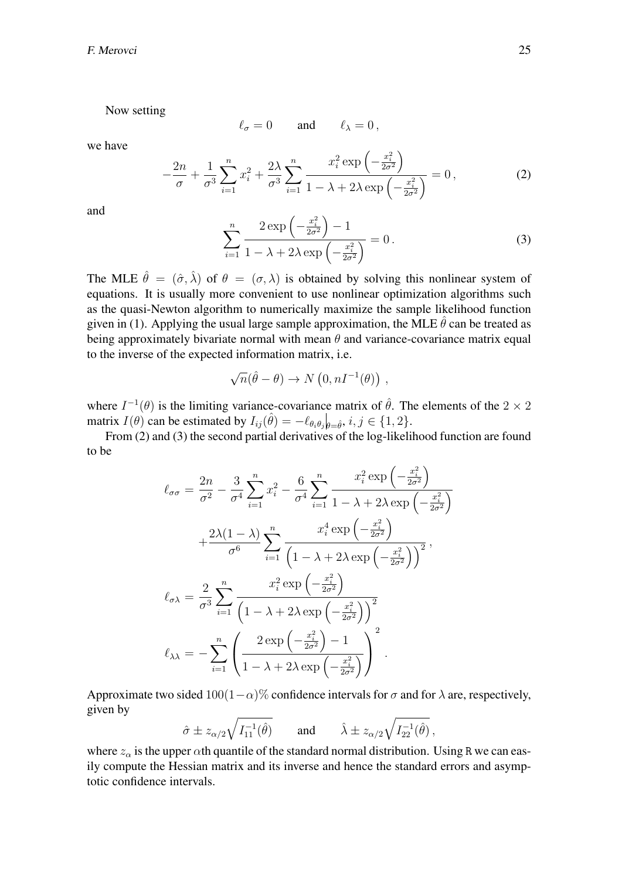Now setting

$$
\ell_{\sigma}=0\qquad\text{and}\qquad\ell_{\lambda}=0\,,
$$

we have

$$
-\frac{2n}{\sigma} + \frac{1}{\sigma^3} \sum_{i=1}^n x_i^2 + \frac{2\lambda}{\sigma^3} \sum_{i=1}^n \frac{x_i^2 \exp\left(-\frac{x_i^2}{2\sigma^2}\right)}{1 - \lambda + 2\lambda \exp\left(-\frac{x_i^2}{2\sigma^2}\right)} = 0,
$$
 (2)

and

$$
\sum_{i=1}^{n} \frac{2 \exp\left(-\frac{x_i^2}{2\sigma^2}\right) - 1}{1 - \lambda + 2\lambda \exp\left(-\frac{x_i^2}{2\sigma^2}\right)} = 0.
$$
 (3)

The MLE  $\hat{\theta} = (\hat{\sigma}, \hat{\lambda})$  of  $\theta = (\sigma, \lambda)$  is obtained by solving this nonlinear system of equations. It is usually more convenient to use nonlinear optimization algorithms such as the quasi-Newton algorithm to numerically maximize the sample likelihood function given in (1). Applying the usual large sample approximation, the MLE  $\hat{\theta}$  can be treated as being approximately bivariate normal with mean *θ* and variance-covariance matrix equal to the inverse of the expected information matrix, i.e.

$$
\sqrt{n}(\hat{\theta} - \theta) \to N(0, nI^{-1}(\theta)),
$$

where  $I^{-1}(\theta)$  is the limiting variance-covariance matrix of  $\hat{\theta}$ . The elements of the 2 × 2 matrix  $I(\theta)$  can be estimated by  $I_{ij}(\hat{\theta}) = -\ell_{\theta_i \theta_j} \big|_{\theta = \hat{\theta}}, i, j \in \{1, 2\}.$ 

From (2) and (3) the second partial derivatives of the log-likelihood function are found to be

$$
\ell_{\sigma\sigma} = \frac{2n}{\sigma^2} - \frac{3}{\sigma^4} \sum_{i=1}^n x_i^2 - \frac{6}{\sigma^4} \sum_{i=1}^n \frac{x_i^2 \exp\left(-\frac{x_i^2}{2\sigma^2}\right)}{1 - \lambda + 2\lambda \exp\left(-\frac{x_i^2}{2\sigma^2}\right)}
$$

$$
+ \frac{2\lambda(1-\lambda)}{\sigma^6} \sum_{i=1}^n \frac{x_i^4 \exp\left(-\frac{x_i^2}{2\sigma^2}\right)}{\left(1 - \lambda + 2\lambda \exp\left(-\frac{x_i^2}{2\sigma^2}\right)\right)^2},
$$

$$
\ell_{\sigma\lambda} = \frac{2}{\sigma^3} \sum_{i=1}^n \frac{x_i^2 \exp\left(-\frac{x_i^2}{2\sigma^2}\right)}{\left(1 - \lambda + 2\lambda \exp\left(-\frac{x_i^2}{2\sigma^2}\right)\right)^2}
$$

$$
\ell_{\lambda\lambda} = -\sum_{i=1}^n \left(\frac{2 \exp\left(-\frac{x_i^2}{2\sigma^2}\right) - 1}{1 - \lambda + 2\lambda \exp\left(-\frac{x_i^2}{2\sigma^2}\right)}\right)^2.
$$

Approximate two sided  $100(1-\alpha)$ % confidence intervals for  $\sigma$  and for  $\lambda$  are, respectively, given by

$$
\hat{\sigma} \pm z_{\alpha/2} \sqrt{I_{11}^{-1}(\hat{\theta})}
$$
 and  $\hat{\lambda} \pm z_{\alpha/2} \sqrt{I_{22}^{-1}(\hat{\theta})}$ ,

where  $z_\alpha$  is the upper  $\alpha$ th quantile of the standard normal distribution. Using R we can easily compute the Hessian matrix and its inverse and hence the standard errors and asymptotic confidence intervals.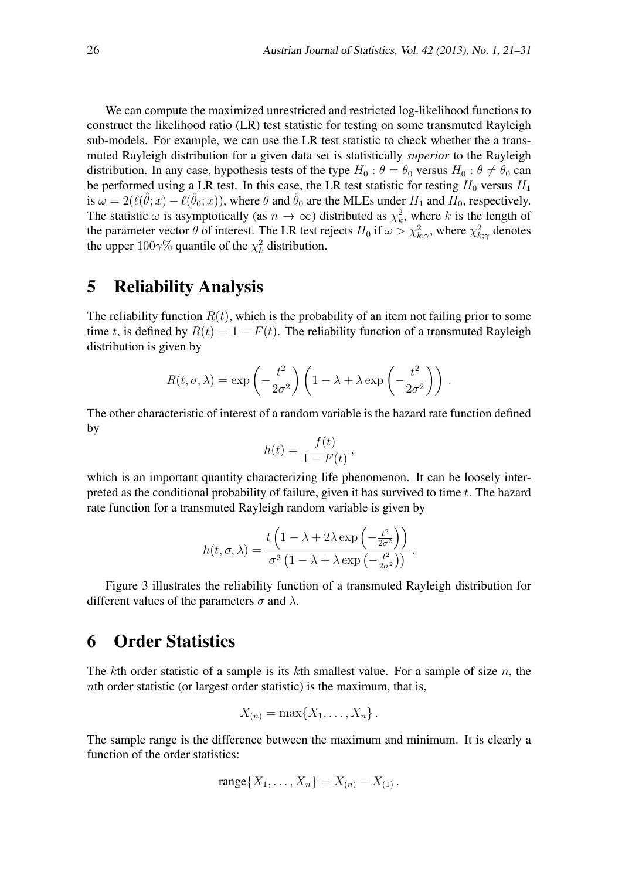We can compute the maximized unrestricted and restricted log-likelihood functions to construct the likelihood ratio (LR) test statistic for testing on some transmuted Rayleigh sub-models. For example, we can use the LR test statistic to check whether the a transmuted Rayleigh distribution for a given data set is statistically *superior* to the Rayleigh distribution. In any case, hypothesis tests of the type  $H_0$ :  $\theta = \theta_0$  versus  $H_0$ :  $\theta \neq \theta_0$  can be performed using a LR test. In this case, the LR test statistic for testing  $H_0$  versus  $H_1$ is  $\omega = 2(\ell(\hat{\theta}; x) - \ell(\hat{\theta}_0; x))$ , where  $\hat{\theta}$  and  $\hat{\theta}_0$  are the MLEs under  $H_1$  and  $H_0$ , respectively. The statistic  $\omega$  is asymptotically (as  $n \to \infty$ ) distributed as  $\chi_k^2$ , where *k* is the length of the parameter vector  $\theta$  of interest. The LR test rejects  $H_0$  if  $\omega > \chi^2_{k;\gamma}$ , where  $\chi^2_{k;\gamma}$  denotes the upper  $100\gamma\%$  quantile of the  $\chi^2_k$  distribution.

#### 5 Reliability Analysis

The reliability function  $R(t)$ , which is the probability of an item not failing prior to some time *t*, is defined by  $R(t) = 1 - F(t)$ . The reliability function of a transmuted Rayleigh distribution is given by

$$
R(t, \sigma, \lambda) = \exp\left(-\frac{t^2}{2\sigma^2}\right) \left(1 - \lambda + \lambda \exp\left(-\frac{t^2}{2\sigma^2}\right)\right).
$$

The other characteristic of interest of a random variable is the hazard rate function defined by

$$
h(t) = \frac{f(t)}{1 - F(t)},
$$

which is an important quantity characterizing life phenomenon. It can be loosely interpreted as the conditional probability of failure, given it has survived to time *t*. The hazard rate function for a transmuted Rayleigh random variable is given by

$$
h(t, \sigma, \lambda) = \frac{t \left(1 - \lambda + 2\lambda \exp\left(-\frac{t^2}{2\sigma^2}\right)\right)}{\sigma^2 \left(1 - \lambda + \lambda \exp\left(-\frac{t^2}{2\sigma^2}\right)\right)}.
$$

Figure 3 illustrates the reliability function of a transmuted Rayleigh distribution for different values of the parameters  $\sigma$  and  $\lambda$ .

#### 6 Order Statistics

The *k*th order statistic of a sample is its *k*th smallest value. For a sample of size *n*, the *n*th order statistic (or largest order statistic) is the maximum, that is,

$$
X_{(n)} = \max\{X_1,\ldots,X_n\}.
$$

The sample range is the difference between the maximum and minimum. It is clearly a function of the order statistics:

range{
$$
X_1, \ldots, X_n
$$
} =  $X_{(n)} - X_{(1)}$ .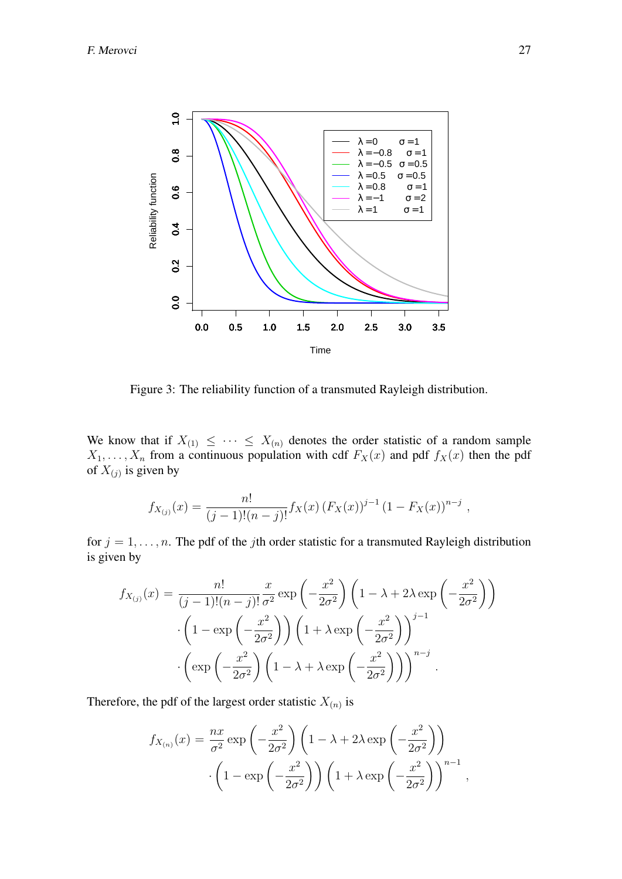

Figure 3: The reliability function of a transmuted Rayleigh distribution.

We know that if  $X_{(1)} \leq \cdots \leq X_{(n)}$  denotes the order statistic of a random sample  $X_1, \ldots, X_n$  from a continuous population with cdf  $F_X(x)$  and pdf  $f_X(x)$  then the pdf of  $X_{(j)}$  is given by

$$
f_{X_{(j)}}(x) = \frac{n!}{(j-1)!(n-j)!} f_X(x) (F_X(x))^{j-1} (1 - F_X(x))^{n-j},
$$

for  $j = 1, \ldots, n$ . The pdf of the *j*th order statistic for a transmuted Rayleigh distribution is given by

$$
f_{X_{(j)}}(x) = \frac{n!}{(j-1)!(n-j)!} \frac{x}{\sigma^2} \exp\left(-\frac{x^2}{2\sigma^2}\right) \left(1 - \lambda + 2\lambda \exp\left(-\frac{x^2}{2\sigma^2}\right)\right)
$$

$$
\cdot \left(1 - \exp\left(-\frac{x^2}{2\sigma^2}\right)\right) \left(1 + \lambda \exp\left(-\frac{x^2}{2\sigma^2}\right)\right)^{j-1}
$$

$$
\cdot \left(\exp\left(-\frac{x^2}{2\sigma^2}\right) \left(1 - \lambda + \lambda \exp\left(-\frac{x^2}{2\sigma^2}\right)\right)\right)^{n-j}.
$$

Therefore, the pdf of the largest order statistic  $X_{(n)}$  is

$$
f_{X_{(n)}}(x) = \frac{nx}{\sigma^2} \exp\left(-\frac{x^2}{2\sigma^2}\right) \left(1 - \lambda + 2\lambda \exp\left(-\frac{x^2}{2\sigma^2}\right)\right)
$$

$$
\cdot \left(1 - \exp\left(-\frac{x^2}{2\sigma^2}\right)\right) \left(1 + \lambda \exp\left(-\frac{x^2}{2\sigma^2}\right)\right)^{n-1},
$$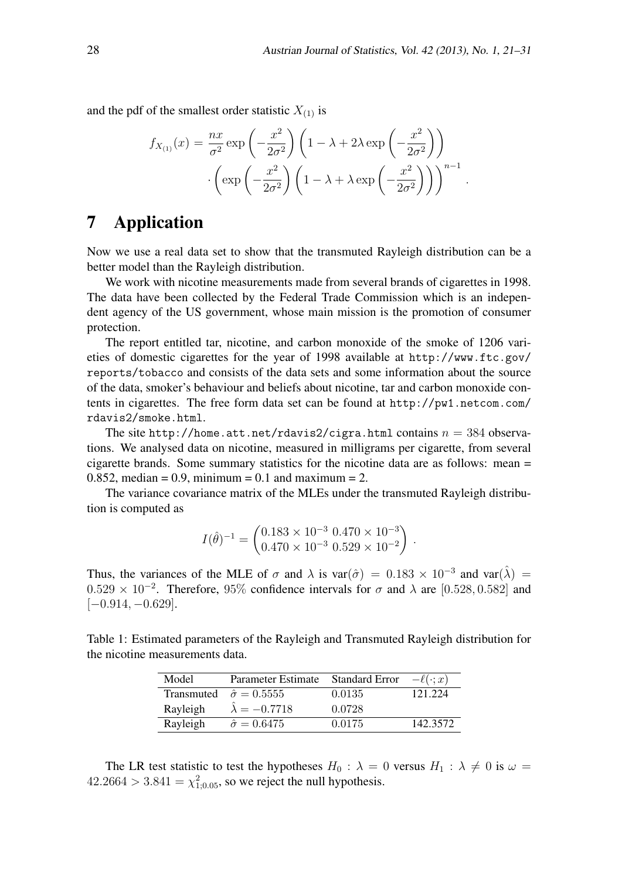*.*

and the pdf of the smallest order statistic  $X_{(1)}$  is

$$
f_{X_{(1)}}(x) = \frac{nx}{\sigma^2} \exp\left(-\frac{x^2}{2\sigma^2}\right) \left(1 - \lambda + 2\lambda \exp\left(-\frac{x^2}{2\sigma^2}\right)\right)
$$

$$
\cdot \left(\exp\left(-\frac{x^2}{2\sigma^2}\right) \left(1 - \lambda + \lambda \exp\left(-\frac{x^2}{2\sigma^2}\right)\right)\right)^{n-1}
$$

### 7 Application

Now we use a real data set to show that the transmuted Rayleigh distribution can be a better model than the Rayleigh distribution.

We work with nicotine measurements made from several brands of cigarettes in 1998. The data have been collected by the Federal Trade Commission which is an independent agency of the US government, whose main mission is the promotion of consumer protection.

The report entitled tar, nicotine, and carbon monoxide of the smoke of 1206 varieties of domestic cigarettes for the year of 1998 available at http://www.ftc.gov/ reports/tobacco and consists of the data sets and some information about the source of the data, smoker's behaviour and beliefs about nicotine, tar and carbon monoxide contents in cigarettes. The free form data set can be found at http://pw1.netcom.com/ rdavis2/smoke.html.

The site http://home.att.net/rdavis2/cigra.html contains  $n = 384$  observations. We analysed data on nicotine, measured in milligrams per cigarette, from several cigarette brands. Some summary statistics for the nicotine data are as follows: mean =  $0.852$ , median = 0.9, minimum = 0.1 and maximum = 2.

The variance covariance matrix of the MLEs under the transmuted Rayleigh distribution is computed as

$$
I(\hat{\theta})^{-1} = \begin{pmatrix} 0.183 \times 10^{-3} & 0.470 \times 10^{-3} \\ 0.470 \times 10^{-3} & 0.529 \times 10^{-2} \end{pmatrix}.
$$

Thus, the variances of the MLE of  $\sigma$  and  $\lambda$  is var $(\hat{\sigma}) = 0.183 \times 10^{-3}$  and var $(\hat{\lambda}) =$  $0.529 \times 10^{-2}$ . Therefore, 95% confidence intervals for  $\sigma$  and  $\lambda$  are [0.528, 0.582] and [*−*0*.*914*, −*0*.*629].

Table 1: Estimated parameters of the Rayleigh and Transmuted Rayleigh distribution for the nicotine measurements data.

| Model    | Parameter Estimate                 | <b>Standard Error</b> | $-\ell(\cdot;x)$ |
|----------|------------------------------------|-----------------------|------------------|
|          | Transmuted $\hat{\sigma} = 0.5555$ | 0.0135                | 121 224          |
| Rayleigh | $\lambda = -0.7718$                | 0.0728                |                  |
| Rayleigh | $\hat{\sigma} = 0.6475$            | 0.0175                | 142.3572         |

The LR test statistic to test the hypotheses  $H_0$ :  $\lambda = 0$  versus  $H_1$ :  $\lambda \neq 0$  is  $\omega =$  $42.2664 > 3.841 = \chi_{1;0.05}^2$ , so we reject the null hypothesis.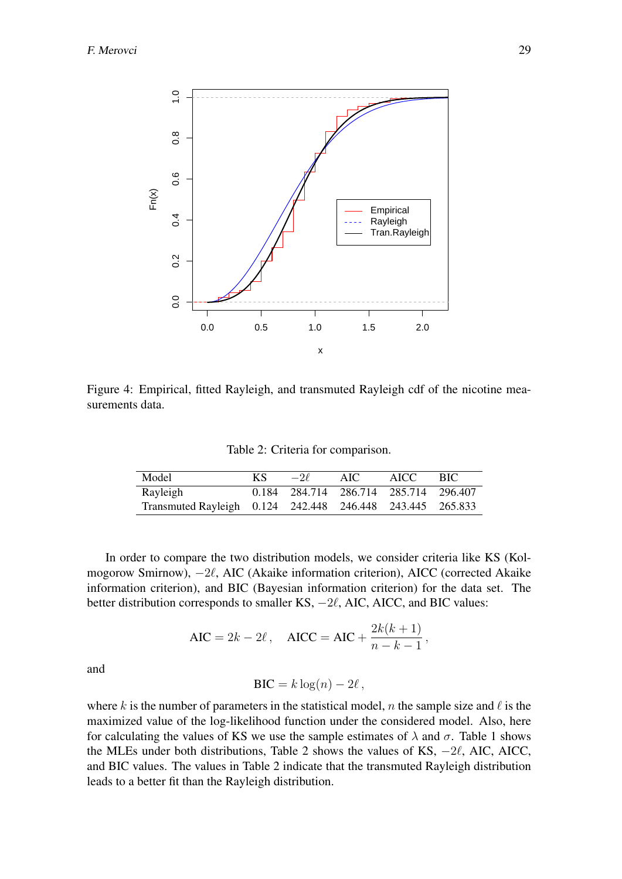

Figure 4: Empirical, fitted Rayleigh, and transmuted Rayleigh cdf of the nicotine measurements data.

Table 2: Criteria for comparison.

| Model                                                     | KS. | $-2\ell$ | AIC | AICC.                                 | - BIC |
|-----------------------------------------------------------|-----|----------|-----|---------------------------------------|-------|
| Rayleigh                                                  |     |          |     | 0.184 284.714 286.714 285.714 296.407 |       |
| Transmuted Rayleigh 0.124 242.448 246.448 243.445 265.833 |     |          |     |                                       |       |

In order to compare the two distribution models, we consider criteria like KS (Kolmogorow Smirnow), *−*2*ℓ*, AIC (Akaike information criterion), AICC (corrected Akaike information criterion), and BIC (Bayesian information criterion) for the data set. The better distribution corresponds to smaller KS, *−*2*ℓ*, AIC, AICC, and BIC values:

$$
AIC = 2k - 2\ell
$$
,  $AICC = AIC + \frac{2k(k+1)}{n-k-1}$ ,

and

$$
BIC = k \log(n) - 2\ell \,,
$$

where *k* is the number of parameters in the statistical model, *n* the sample size and  $\ell$  is the maximized value of the log-likelihood function under the considered model. Also, here for calculating the values of KS we use the sample estimates of  $\lambda$  and  $\sigma$ . Table 1 shows the MLEs under both distributions, Table 2 shows the values of KS, *−*2*ℓ*, AIC, AICC, and BIC values. The values in Table 2 indicate that the transmuted Rayleigh distribution leads to a better fit than the Rayleigh distribution.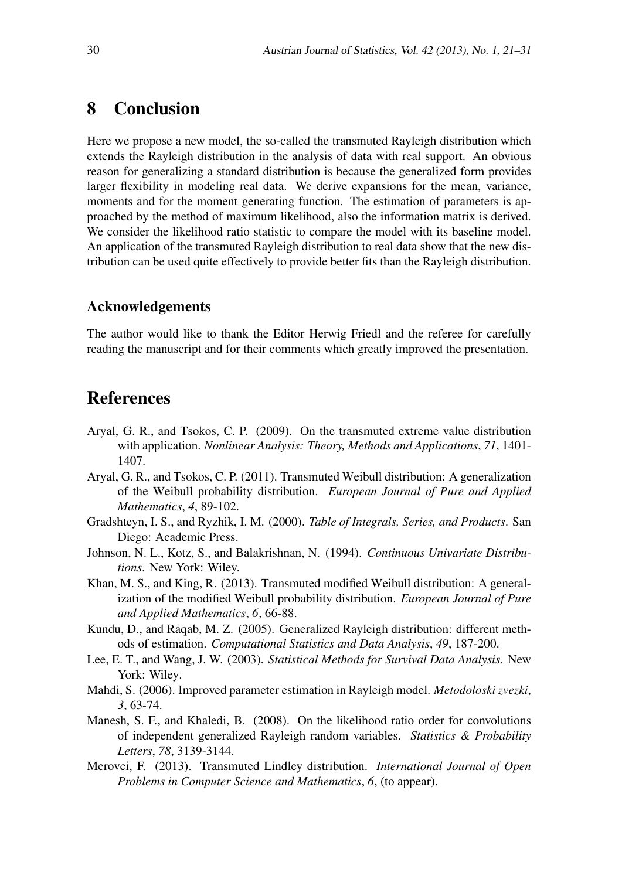### 8 Conclusion

Here we propose a new model, the so-called the transmuted Rayleigh distribution which extends the Rayleigh distribution in the analysis of data with real support. An obvious reason for generalizing a standard distribution is because the generalized form provides larger flexibility in modeling real data. We derive expansions for the mean, variance, moments and for the moment generating function. The estimation of parameters is approached by the method of maximum likelihood, also the information matrix is derived. We consider the likelihood ratio statistic to compare the model with its baseline model. An application of the transmuted Rayleigh distribution to real data show that the new distribution can be used quite effectively to provide better fits than the Rayleigh distribution.

#### Acknowledgements

The author would like to thank the Editor Herwig Friedl and the referee for carefully reading the manuscript and for their comments which greatly improved the presentation.

# References

- Aryal, G. R., and Tsokos, C. P. (2009). On the transmuted extreme value distribution with application. *Nonlinear Analysis: Theory, Methods and Applications*, *71*, 1401- 1407.
- Aryal, G. R., and Tsokos, C. P. (2011). Transmuted Weibull distribution: A generalization of the Weibull probability distribution. *European Journal of Pure and Applied Mathematics*, *4*, 89-102.
- Gradshteyn, I. S., and Ryzhik, I. M. (2000). *Table of Integrals, Series, and Products*. San Diego: Academic Press.
- Johnson, N. L., Kotz, S., and Balakrishnan, N. (1994). *Continuous Univariate Distributions*. New York: Wiley.
- Khan, M. S., and King, R. (2013). Transmuted modified Weibull distribution: A generalization of the modified Weibull probability distribution. *European Journal of Pure and Applied Mathematics*, *6*, 66-88.
- Kundu, D., and Raqab, M. Z. (2005). Generalized Rayleigh distribution: different methods of estimation. *Computational Statistics and Data Analysis*, *49*, 187-200.
- Lee, E. T., and Wang, J. W. (2003). *Statistical Methods for Survival Data Analysis*. New York: Wiley.
- Mahdi, S. (2006). Improved parameter estimation in Rayleigh model. *Metodoloski zvezki*, *3*, 63-74.
- Manesh, S. F., and Khaledi, B. (2008). On the likelihood ratio order for convolutions of independent generalized Rayleigh random variables. *Statistics & Probability Letters*, *78*, 3139-3144.
- Merovci, F. (2013). Transmuted Lindley distribution. *International Journal of Open Problems in Computer Science and Mathematics*, *6*, (to appear).